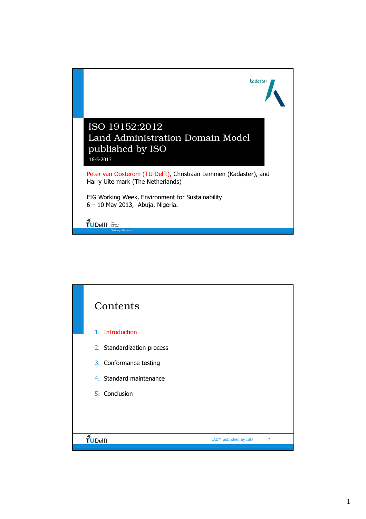

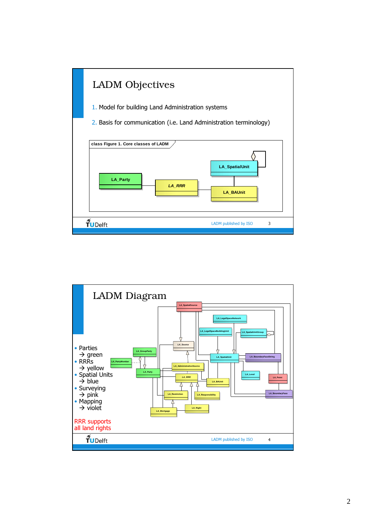

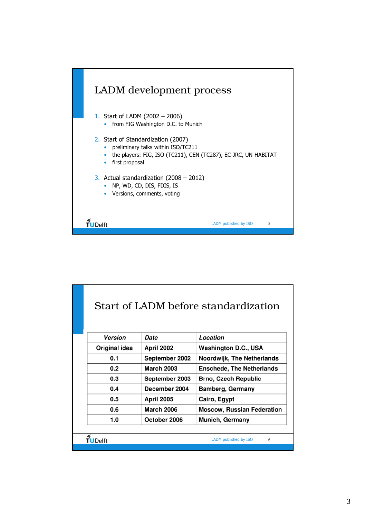

|  | Start of LADM before standardization                                                                                                                                               |                   |                             |  |  |  |  |  |  |
|--|------------------------------------------------------------------------------------------------------------------------------------------------------------------------------------|-------------------|-----------------------------|--|--|--|--|--|--|
|  | <b>Version</b>                                                                                                                                                                     | Date              | Location                    |  |  |  |  |  |  |
|  | Original idea                                                                                                                                                                      | <b>April 2002</b> | <b>Washington D.C., USA</b> |  |  |  |  |  |  |
|  | 0.1<br>September 2002<br><b>Noordwijk, The Netherlands</b><br><b>March 2003</b><br>0.2<br><b>Enschede, The Netherlands</b><br>0.3<br>September 2003<br><b>Brno, Czech Republic</b> |                   |                             |  |  |  |  |  |  |
|  |                                                                                                                                                                                    |                   |                             |  |  |  |  |  |  |
|  |                                                                                                                                                                                    |                   |                             |  |  |  |  |  |  |
|  | 0.4<br>December 2004<br><b>Bamberg, Germany</b>                                                                                                                                    |                   |                             |  |  |  |  |  |  |
|  | 0.5                                                                                                                                                                                | <b>April 2005</b> | Cairo, Egypt                |  |  |  |  |  |  |
|  | 0.6<br><b>March 2006</b><br><b>Moscow, Russian Federation</b>                                                                                                                      |                   |                             |  |  |  |  |  |  |
|  | 1.0<br>October 2006<br><b>Munich, Germany</b>                                                                                                                                      |                   |                             |  |  |  |  |  |  |
|  |                                                                                                                                                                                    |                   |                             |  |  |  |  |  |  |
|  | LADM published by ISO<br>6<br>TUDelft                                                                                                                                              |                   |                             |  |  |  |  |  |  |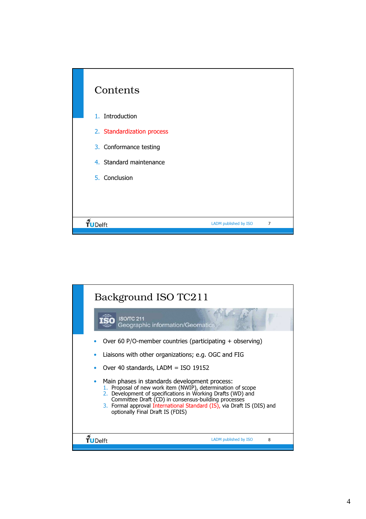

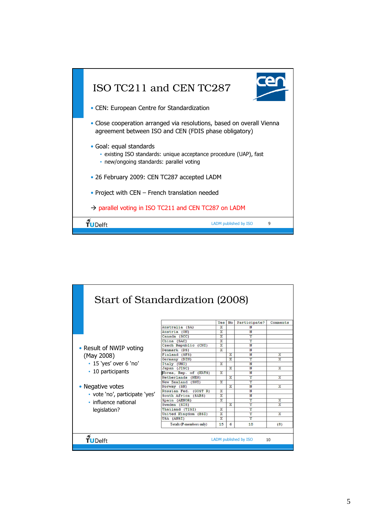

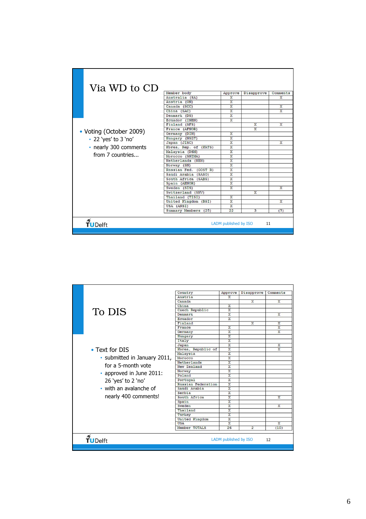| Via WD to CD             |                       |                         |                         |                         |
|--------------------------|-----------------------|-------------------------|-------------------------|-------------------------|
|                          | Member body           | Approve                 | Disapprove              | Comments                |
|                          | Australia (SA)        | x                       |                         | x                       |
|                          | Austria (ON)          | $\overline{\mathbf{x}}$ |                         |                         |
|                          | Canada (SCC)          | $\overline{\mathbf{x}}$ |                         | X                       |
|                          | China (SAC)           | $\overline{\mathbf{x}}$ |                         | $\overline{\mathbf{x}}$ |
|                          | Denmark (DS)          | x                       |                         |                         |
|                          | Ecuador (INEN)        | $\mathbf x$             |                         |                         |
|                          | Finland (SFS)         |                         | X                       | X                       |
|                          | France (AFNOR)        |                         | $\overline{\mathbf{x}}$ |                         |
| • Voting (October 2009)  | Germany (DIN)         | $\overline{\mathbf{x}}$ |                         |                         |
| • 22 'yes' to 3 'no'     | Hungary (NSZT)        | X                       |                         |                         |
|                          | Japan (JISC)          | $\overline{\mathbf{x}}$ |                         | X                       |
| • nearly 300 comments    | Korea, Rep. of (KATS) | X                       |                         |                         |
|                          | Malaysia (DSM)        | $\overline{\mathbf{x}}$ |                         |                         |
| from 7 countries         | Morocco (SNIMA)       | $\overline{\mathbf{x}}$ |                         |                         |
|                          | Netherlands (NEN)     | $\overline{\mathbf{x}}$ |                         |                         |
|                          | Norway (SN)           | $\overline{\mathbf{x}}$ |                         |                         |
|                          | Russian Fed. (GOST R) | $\overline{\mathbf{x}}$ |                         |                         |
|                          | Saudi Arabia (SASO)   | $\overline{\mathbf{x}}$ |                         |                         |
|                          | South Africa (SABS)   | X                       |                         |                         |
|                          | Spain (AENOR)         | $\overline{\mathbf{x}}$ |                         |                         |
|                          | Sweden (SIS)          | x                       |                         | x                       |
|                          | Switzerland (SNV)     |                         | X                       |                         |
|                          | Thailand (TISI)       | X                       |                         |                         |
|                          | United Kingdom (BSI)  | $\overline{\mathbf{x}}$ |                         | X                       |
|                          | USA (ANSI)            | x                       |                         |                         |
|                          | Summary Members (25)  | 22                      | 3                       | (7)                     |
| $\frac{1}{2}$<br>TUDelft |                       | LADM published by ISO   | 11                      |                         |

|                              | Country            | Approve                 | Disapprove              | Comments                |
|------------------------------|--------------------|-------------------------|-------------------------|-------------------------|
|                              | Austria            | x                       |                         |                         |
|                              | Canada             |                         | x                       | X                       |
|                              | China              | X                       |                         |                         |
|                              | Czech Republic     | $\overline{\mathbf{x}}$ |                         |                         |
| To DIS                       | Denmark            | $\overline{\mathbf{x}}$ |                         | $\overline{\mathbf{x}}$ |
|                              | Ecuador            | $\overline{\mathbf{x}}$ |                         |                         |
|                              | Finland            |                         | $\overline{\mathbf{x}}$ | X                       |
|                              | France             | X                       |                         | X                       |
|                              | Germany            | $\overline{\mathbf{x}}$ |                         | $\overline{\mathbf{x}}$ |
|                              | Hungary            | $\overline{\mathbf{x}}$ |                         |                         |
|                              | Italy              | $\overline{\mathbf{x}}$ |                         |                         |
|                              | Japan              | $\overline{\mathbf{x}}$ |                         | X                       |
| • Text for DIS               | Korea, Republic of | $\overline{X}$          |                         | $\overline{\mathbf{x}}$ |
|                              | Malaysia           | $\overline{\mathbf{x}}$ |                         |                         |
| • submitted in January 2011, | Morocco            | $\overline{\mathbf{x}}$ |                         |                         |
|                              | Netherlands        | $\overline{\mathbf{x}}$ |                         |                         |
| for a 5-month vote           | New Zealand        | X                       |                         |                         |
| • approved in June 2011:     | Norway             | $\overline{\mathbf{x}}$ |                         |                         |
|                              | Poland             | $\overline{\mathbf{x}}$ |                         |                         |
| 26 'yes' to 2 'no'           | Portugal           | $\overline{\mathbf{x}}$ |                         |                         |
|                              | Russian Federation | $\overline{\mathbf{x}}$ |                         |                         |
| • with an avalanche of       | Saudi Arabia       | $\overline{\mathbf{x}}$ |                         |                         |
|                              | Serbia             | $\overline{\mathbf{x}}$ |                         |                         |
| nearly 400 comments!         | South Africa       | x<br>X                  |                         | x                       |
|                              | Spain<br>Sweden    | X                       |                         | X                       |
|                              | Thailand           | $\overline{\mathbf{x}}$ |                         |                         |
|                              | Turkey             | $\overline{\mathbf{x}}$ |                         |                         |
|                              | United Kingdom     | X                       |                         |                         |
|                              | <b>USA</b>         | $\overline{\mathbf{x}}$ |                         | $\overline{\mathbf{x}}$ |
|                              | Member TOTALS      | 26                      | $\overline{2}$          | (10)                    |
|                              |                    |                         |                         |                         |
| <b>TUDelft</b>               |                    | LADM published by ISO   |                         | 12                      |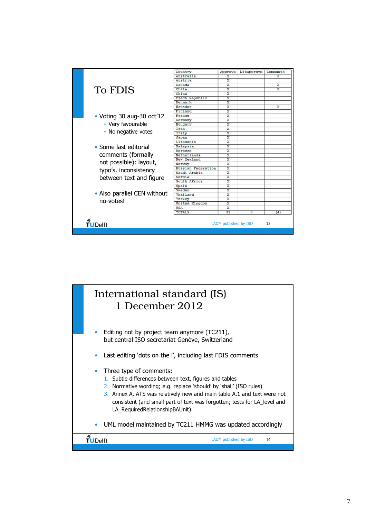

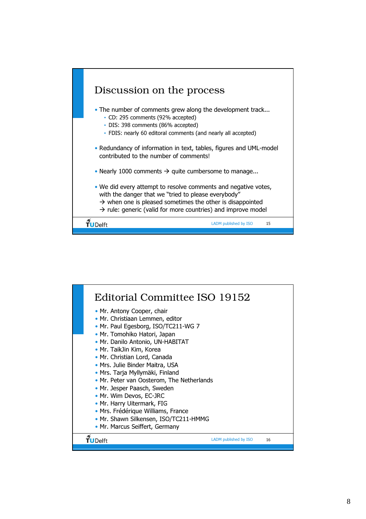

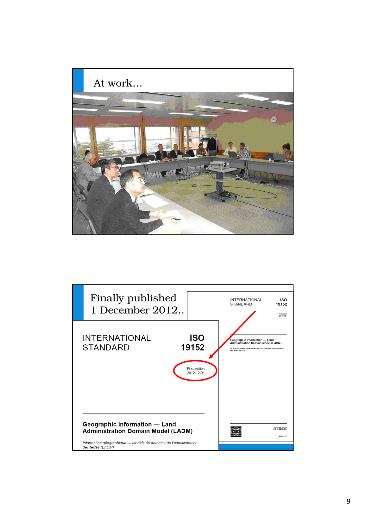

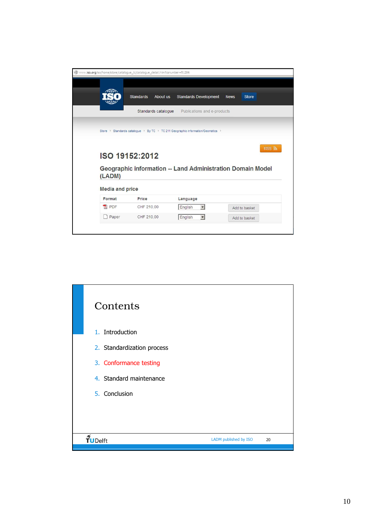|                                            | <b>Standards</b>        | <b>About us</b> | <b>Standards Development</b>                                                    | <b>News</b> | <b>Store</b>  |               |  |
|--------------------------------------------|-------------------------|-----------------|---------------------------------------------------------------------------------|-------------|---------------|---------------|--|
|                                            |                         |                 |                                                                                 |             |               |               |  |
|                                            | Standards catalogue     |                 | Publications and e-products                                                     |             |               |               |  |
|                                            |                         |                 |                                                                                 |             |               |               |  |
|                                            |                         |                 | Store > Standards catalogue > By TC > TC 211 Geographic information/Geomatics > |             |               |               |  |
|                                            |                         |                 |                                                                                 |             |               |               |  |
|                                            |                         |                 |                                                                                 |             |               |               |  |
| (LADM)<br><b>Media and price</b><br>Format | ISO 19152:2012<br>Price |                 | Geographic information -- Land Administration Domain Model<br>Language          |             |               | <b>RSS</b> ลิ |  |
| <b>X</b> PDF                               | CHF 210.00              |                 | English<br>$\blacksquare$                                                       |             | Add to basket |               |  |

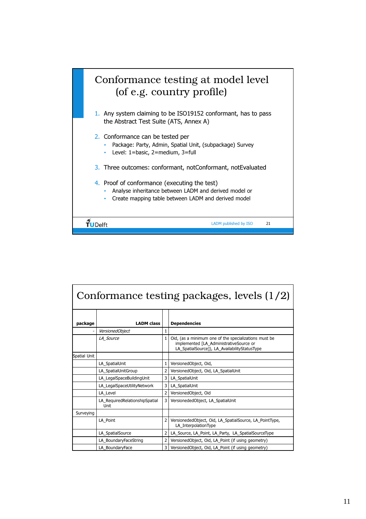

| Conformance testing packages, levels (1/2) |                                                                                               |                |                                                                                                                                                   |  |  |  |  |
|--------------------------------------------|-----------------------------------------------------------------------------------------------|----------------|---------------------------------------------------------------------------------------------------------------------------------------------------|--|--|--|--|
| package                                    | <b>LADM</b> class                                                                             |                | <b>Dependencies</b>                                                                                                                               |  |  |  |  |
| -                                          | VersionedObject                                                                               | 1              |                                                                                                                                                   |  |  |  |  |
|                                            | LA Source                                                                                     | 1              | Oid, (as a minimum one of the specializations must be<br>implemented [LA AdministrativeSource or<br>LA_SpatialSource]), LA_AvailabilityStatusType |  |  |  |  |
| Spatial Unit                               |                                                                                               |                |                                                                                                                                                   |  |  |  |  |
|                                            | LA SpatialUnit                                                                                | 1              | VersionedObject, Oid,                                                                                                                             |  |  |  |  |
|                                            | LA SpatialUnitGroup                                                                           | $\overline{2}$ | VersionedObject, Oid, LA SpatialUnit                                                                                                              |  |  |  |  |
|                                            | LA LegalSpaceBuildingUnit                                                                     | $\overline{3}$ | LA_SpatialUnit                                                                                                                                    |  |  |  |  |
|                                            | LA LegalSpaceUtilityNetwork                                                                   | $\overline{3}$ | LA SpatialUnit                                                                                                                                    |  |  |  |  |
|                                            | LA Level                                                                                      |                | VersionedObject, Oid                                                                                                                              |  |  |  |  |
|                                            | LA_RequiredRelationshipSpatial<br>Unit                                                        | 3              | VersionededObject, LA SpatialUnit                                                                                                                 |  |  |  |  |
| Surveying                                  |                                                                                               |                |                                                                                                                                                   |  |  |  |  |
|                                            | LA Point                                                                                      | $\overline{2}$ | VersionededObject, Oid, LA SpatialSource, LA PointType,<br>LA InterpolationType                                                                   |  |  |  |  |
|                                            | $\overline{2}$<br>LA_Source, LA_Point, LA_Party, LA_SpatialSourceType<br>LA SpatialSource     |                |                                                                                                                                                   |  |  |  |  |
|                                            | $\overline{2}$<br>LA BoundaryFaceString<br>VersionedObject, Oid, LA_Point (if using geometry) |                |                                                                                                                                                   |  |  |  |  |
|                                            | 3<br>LA_BoundaryFace<br>VersionedObject, Oid, LA Point (if using geometry)                    |                |                                                                                                                                                   |  |  |  |  |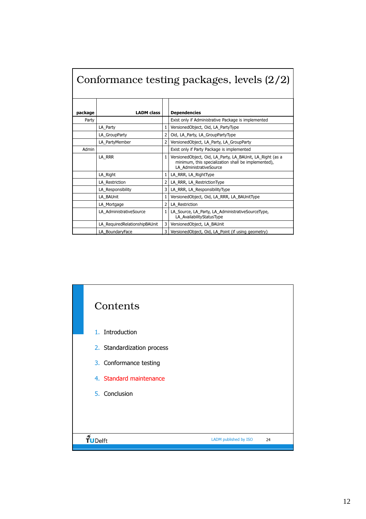| Conformance testing packages, levels (2/2) |                               |                |                                                                                                                                             |  |  |  |  |
|--------------------------------------------|-------------------------------|----------------|---------------------------------------------------------------------------------------------------------------------------------------------|--|--|--|--|
| package                                    | <b>LADM</b> class             |                | <b>Dependencies</b>                                                                                                                         |  |  |  |  |
| Party                                      |                               |                | Exist only if Administrative Package is implemented                                                                                         |  |  |  |  |
|                                            | LA Party                      |                | VersionedObject, Oid, LA_PartyType                                                                                                          |  |  |  |  |
|                                            | LA GroupParty                 |                | Oid, LA Party, LA GroupPartyType                                                                                                            |  |  |  |  |
|                                            | LA PartyMember                | $\overline{2}$ | VersionedObject, LA Party, LA GroupParty                                                                                                    |  |  |  |  |
| Admin                                      |                               |                | Exist only if Party Package is implemented                                                                                                  |  |  |  |  |
|                                            | LA RRR                        |                | VersionedObject, Oid, LA Party, LA BAUnit, LA Right (as a<br>minimum, this specialization shall be implemented),<br>LA AdministrativeSource |  |  |  |  |
|                                            | LA Right                      | $\mathbf{1}$   | LA RRR, LA RightType                                                                                                                        |  |  |  |  |
|                                            | LA Restriction                | 2              | LA RRR, LA RestrictionType                                                                                                                  |  |  |  |  |
|                                            | LA Responsibility             | 3              | LA_RRR, LA_ResponsibilityType                                                                                                               |  |  |  |  |
| LA BAUnit                                  |                               |                | VersionedObject, Oid, LA RRR, LA BAUnitType                                                                                                 |  |  |  |  |
|                                            | LA Mortgage                   | $\overline{2}$ | LA Restriction                                                                                                                              |  |  |  |  |
|                                            | LA AdministrativeSource       | 1              | LA_Source, LA_Party, LA_AdministrativeSourceType,<br>LA_AvailabilityStatusType                                                              |  |  |  |  |
|                                            | LA RequiredRelationshipBAUnit | 3              | VersionedObject, LA BAUnit                                                                                                                  |  |  |  |  |
|                                            | LA_BoundaryFace               | 3              | VersionedObject, Oid, LA_Point (if using geometry)                                                                                          |  |  |  |  |

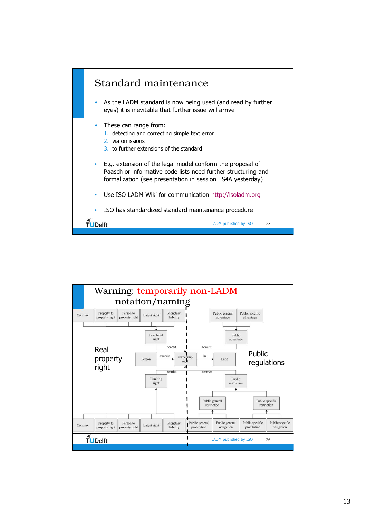

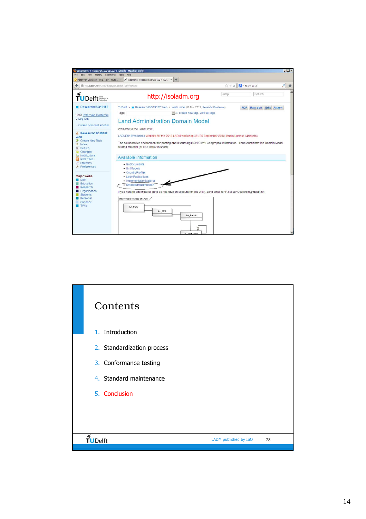

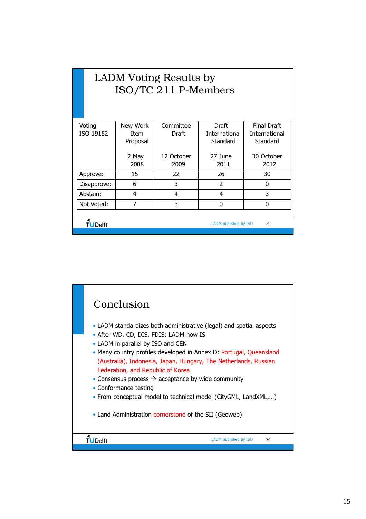| LADM Voting Results by<br>ISO/TC 211 P-Members                 |             |            |               |                      |  |  |  |  |  |
|----------------------------------------------------------------|-------------|------------|---------------|----------------------|--|--|--|--|--|
| <b>Final Draft</b><br>New Work<br>Draft<br>Voting<br>Committee |             |            |               |                      |  |  |  |  |  |
| ISO 19152                                                      | <b>Item</b> | Draft      | International | <b>International</b> |  |  |  |  |  |
|                                                                | Proposal    |            | Standard      | Standard             |  |  |  |  |  |
|                                                                | 2 May       | 12 October | 27 June       | 30 October           |  |  |  |  |  |
|                                                                | 2008        | 2009       | 2011          | 2012                 |  |  |  |  |  |
| 15<br>22<br>26<br>30<br>Approve:                               |             |            |               |                      |  |  |  |  |  |
| 3<br>$\mathcal{P}$<br>6<br>Disapprove:<br>0                    |             |            |               |                      |  |  |  |  |  |
| 3<br>4<br>4<br>Abstain:<br>4                                   |             |            |               |                      |  |  |  |  |  |
| 7<br>3<br>Not Voted:<br>O<br>ŋ                                 |             |            |               |                      |  |  |  |  |  |
|                                                                |             |            |               |                      |  |  |  |  |  |
| TUDelft<br>LADM published by ISO<br>29                         |             |            |               |                      |  |  |  |  |  |
|                                                                |             |            |               |                      |  |  |  |  |  |